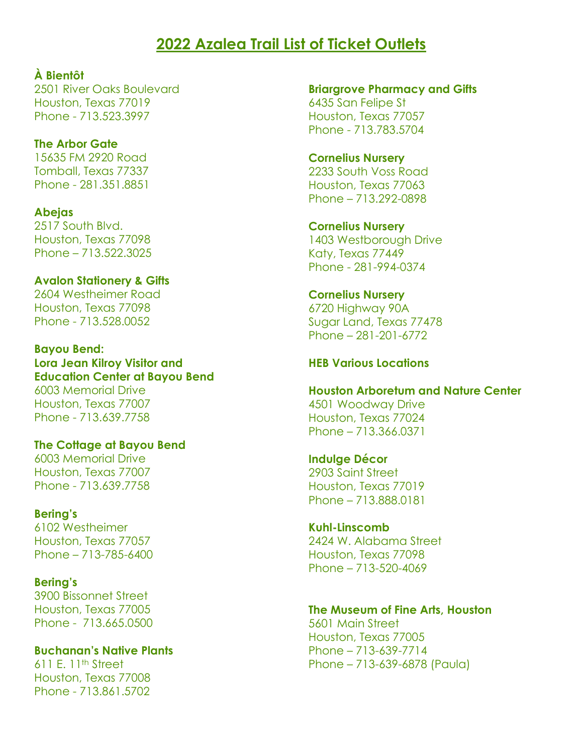# **2022 Azalea Trail List of Ticket Outlets**

**À Bientôt**

2501 River Oaks Boulevard Houston, Texas 77019 Phone - 713.523.3997

#### **The Arbor Gate** 15635 FM 2920 Road

Tomball, Texas 77337 Phone - 281.351.8851

## **Abejas**

2517 South Blvd. Houston, Texas 77098 Phone – 713.522.3025

## **Avalon Stationery & Gifts**

2604 Westheimer Road Houston, Texas 77098 Phone - 713.528.0052

## **Bayou Bend: Lora Jean Kilroy Visitor and Education Center at Bayou Bend**

6003 Memorial Drive Houston, Texas 77007 Phone - 713.639.7758

## **The Cottage at Bayou Bend**

6003 Memorial Drive Houston, Texas 77007 Phone - 713.639.7758

## **Bering's**

6102 Westheimer Houston, Texas 77057 Phone – 713-785-6400

## **Bering's**

3900 Bissonnet Street Houston, Texas 77005 Phone - 713.665.0500

## **Buchanan's Native Plants**

611 E.  $11<sup>th</sup>$  Street Houston, Texas 77008 Phone - 713.861.5702

**Briargrove Pharmacy and Gifts** 6435 San Felipe St Houston, Texas 77057 Phone - 713.783.5704

## **Cornelius Nursery**

2233 South Voss Road Houston, Texas 77063 Phone – 713.292-0898

## **Cornelius Nursery**

1403 Westborough Drive Katy, Texas 77449 Phone - 281-994-0374

## **Cornelius Nursery**

6720 Highway 90A Sugar Land, Texas 77478 Phone – 281-201-6772

## **HEB Various Locations**

#### **Houston Arboretum and Nature Center**

4501 Woodway Drive Houston, Texas 77024 Phone – 713.366.0371

#### **Indulge Décor**

2903 Saint Street Houston, Texas 77019 Phone – 713.888.0181

#### **Kuhl-Linscomb**

2424 W. Alabama Street Houston, Texas 77098 Phone – 713-520-4069

## **The Museum of Fine Arts, Houston**

5601 Main Street Houston, Texas 77005 Phone – 713-639-7714 Phone – 713-639-6878 (Paula)